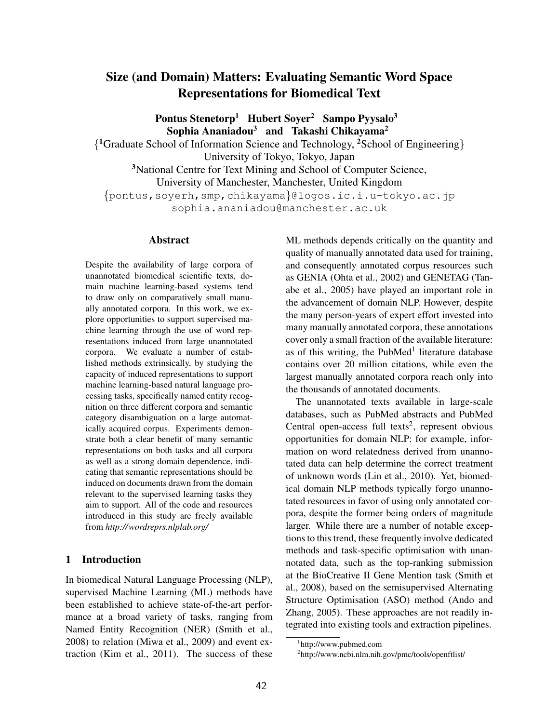# Size (and Domain) Matters: Evaluating Semantic Word Space Representations for Biomedical Text

Pontus Stenetorp<sup>1</sup> Hubert Soyer<sup>2</sup> Sampo Pyysalo<sup>3</sup> Sophia Ananiadou<sup>3</sup> and Takashi Chikayama<sup>2</sup> { <sup>1</sup>Graduate School of Information Science and Technology, <sup>2</sup>School of Engineering} University of Tokyo, Tokyo, Japan <sup>3</sup>National Centre for Text Mining and School of Computer Science,

University of Manchester, Manchester, United Kingdom

{pontus,soyerh,smp,chikayama}@logos.ic.i.u-tokyo.ac.jp

sophia.ananiadou@manchester.ac.uk

## Abstract

Despite the availability of large corpora of unannotated biomedical scientific texts, domain machine learning-based systems tend to draw only on comparatively small manually annotated corpora. In this work, we explore opportunities to support supervised machine learning through the use of word representations induced from large unannotated corpora. We evaluate a number of established methods extrinsically, by studying the capacity of induced representations to support machine learning-based natural language processing tasks, specifically named entity recognition on three different corpora and semantic category disambiguation on a large automatically acquired corpus. Experiments demonstrate both a clear benefit of many semantic representations on both tasks and all corpora as well as a strong domain dependence, indicating that semantic representations should be induced on documents drawn from the domain relevant to the supervised learning tasks they aim to support. All of the code and resources introduced in this study are freely available from *http://wordreprs.nlplab.org/*

# 1 Introduction

In biomedical Natural Language Processing (NLP), supervised Machine Learning (ML) methods have been established to achieve state-of-the-art performance at a broad variety of tasks, ranging from Named Entity Recognition (NER) (Smith et al., 2008) to relation (Miwa et al., 2009) and event extraction (Kim et al., 2011). The success of these ML methods depends critically on the quantity and quality of manually annotated data used for training, and consequently annotated corpus resources such as GENIA (Ohta et al., 2002) and GENETAG (Tanabe et al., 2005) have played an important role in the advancement of domain NLP. However, despite the many person-years of expert effort invested into many manually annotated corpora, these annotations cover only a small fraction of the available literature: as of this writing, the PubMed<sup>1</sup> literature database contains over 20 million citations, while even the largest manually annotated corpora reach only into the thousands of annotated documents.

The unannotated texts available in large-scale databases, such as PubMed abstracts and PubMed Central open-access full texts<sup>2</sup>, represent obvious opportunities for domain NLP: for example, information on word relatedness derived from unannotated data can help determine the correct treatment of unknown words (Lin et al., 2010). Yet, biomedical domain NLP methods typically forgo unannotated resources in favor of using only annotated corpora, despite the former being orders of magnitude larger. While there are a number of notable exceptions to this trend, these frequently involve dedicated methods and task-specific optimisation with unannotated data, such as the top-ranking submission at the BioCreative II Gene Mention task (Smith et al., 2008), based on the semisupervised Alternating Structure Optimisation (ASO) method (Ando and Zhang, 2005). These approaches are not readily integrated into existing tools and extraction pipelines.

<sup>1</sup> http://www.pubmed.com

<sup>2</sup> http://www.ncbi.nlm.nih.gov/pmc/tools/openftlist/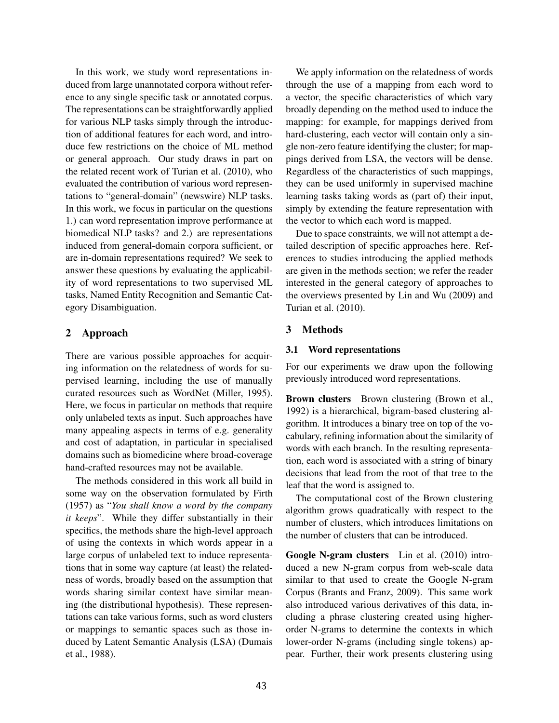In this work, we study word representations induced from large unannotated corpora without reference to any single specific task or annotated corpus. The representations can be straightforwardly applied for various NLP tasks simply through the introduction of additional features for each word, and introduce few restrictions on the choice of ML method or general approach. Our study draws in part on the related recent work of Turian et al. (2010), who evaluated the contribution of various word representations to "general-domain" (newswire) NLP tasks. In this work, we focus in particular on the questions 1.) can word representation improve performance at biomedical NLP tasks? and 2.) are representations induced from general-domain corpora sufficient, or are in-domain representations required? We seek to answer these questions by evaluating the applicability of word representations to two supervised ML tasks, Named Entity Recognition and Semantic Category Disambiguation.

# 2 Approach

There are various possible approaches for acquiring information on the relatedness of words for supervised learning, including the use of manually curated resources such as WordNet (Miller, 1995). Here, we focus in particular on methods that require only unlabeled texts as input. Such approaches have many appealing aspects in terms of e.g. generality and cost of adaptation, in particular in specialised domains such as biomedicine where broad-coverage hand-crafted resources may not be available.

The methods considered in this work all build in some way on the observation formulated by Firth (1957) as "*You shall know a word by the company it keeps*". While they differ substantially in their specifics, the methods share the high-level approach of using the contexts in which words appear in a large corpus of unlabeled text to induce representations that in some way capture (at least) the relatedness of words, broadly based on the assumption that words sharing similar context have similar meaning (the distributional hypothesis). These representations can take various forms, such as word clusters or mappings to semantic spaces such as those induced by Latent Semantic Analysis (LSA) (Dumais et al., 1988).

We apply information on the relatedness of words through the use of a mapping from each word to a vector, the specific characteristics of which vary broadly depending on the method used to induce the mapping: for example, for mappings derived from hard-clustering, each vector will contain only a single non-zero feature identifying the cluster; for mappings derived from LSA, the vectors will be dense. Regardless of the characteristics of such mappings, they can be used uniformly in supervised machine learning tasks taking words as (part of) their input, simply by extending the feature representation with the vector to which each word is mapped.

Due to space constraints, we will not attempt a detailed description of specific approaches here. References to studies introducing the applied methods are given in the methods section; we refer the reader interested in the general category of approaches to the overviews presented by Lin and Wu (2009) and Turian et al. (2010).

# 3 Methods

# 3.1 Word representations

For our experiments we draw upon the following previously introduced word representations.

Brown clusters Brown clustering (Brown et al., 1992) is a hierarchical, bigram-based clustering algorithm. It introduces a binary tree on top of the vocabulary, refining information about the similarity of words with each branch. In the resulting representation, each word is associated with a string of binary decisions that lead from the root of that tree to the leaf that the word is assigned to.

The computational cost of the Brown clustering algorithm grows quadratically with respect to the number of clusters, which introduces limitations on the number of clusters that can be introduced.

Google N-gram clusters Lin et al. (2010) introduced a new N-gram corpus from web-scale data similar to that used to create the Google N-gram Corpus (Brants and Franz, 2009). This same work also introduced various derivatives of this data, including a phrase clustering created using higherorder N-grams to determine the contexts in which lower-order N-grams (including single tokens) appear. Further, their work presents clustering using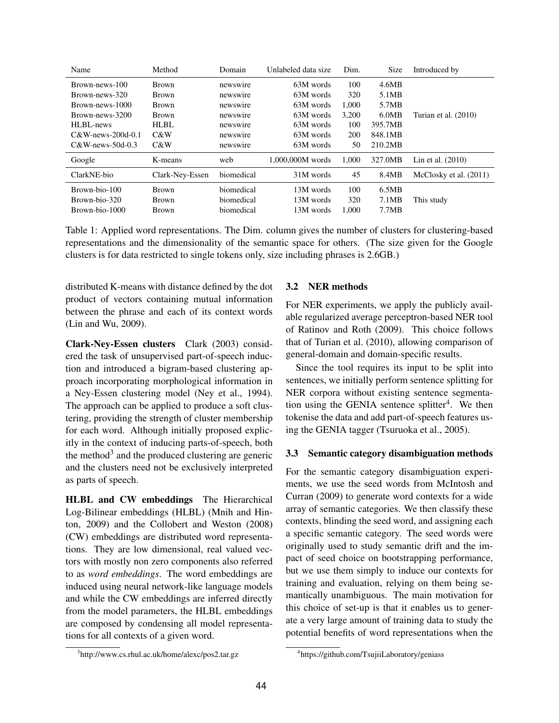| Turian et al. (2010)     |
|--------------------------|
|                          |
|                          |
|                          |
|                          |
| McClosky et al. $(2011)$ |
|                          |
|                          |
|                          |
| Lin et al. $(2010)$      |

Table 1: Applied word representations. The Dim. column gives the number of clusters for clustering-based representations and the dimensionality of the semantic space for others. (The size given for the Google clusters is for data restricted to single tokens only, size including phrases is 2.6GB.)

distributed K-means with distance defined by the dot product of vectors containing mutual information between the phrase and each of its context words (Lin and Wu, 2009).

Clark-Ney-Essen clusters Clark (2003) considered the task of unsupervised part-of-speech induction and introduced a bigram-based clustering approach incorporating morphological information in a Ney-Essen clustering model (Ney et al., 1994). The approach can be applied to produce a soft clustering, providing the strength of cluster membership for each word. Although initially proposed explicitly in the context of inducing parts-of-speech, both the method<sup>3</sup> and the produced clustering are generic and the clusters need not be exclusively interpreted as parts of speech.

HLBL and CW embeddings The Hierarchical Log-Bilinear embeddings (HLBL) (Mnih and Hinton, 2009) and the Collobert and Weston (2008) (CW) embeddings are distributed word representations. They are low dimensional, real valued vectors with mostly non zero components also referred to as *word embeddings*. The word embeddings are induced using neural network-like language models and while the CW embeddings are inferred directly from the model parameters, the HLBL embeddings are composed by condensing all model representations for all contexts of a given word.

#### 3 http://www.cs.rhul.ac.uk/home/alexc/pos2.tar.gz

#### 3.2 NER methods

For NER experiments, we apply the publicly available regularized average perceptron-based NER tool of Ratinov and Roth (2009). This choice follows that of Turian et al. (2010), allowing comparison of general-domain and domain-specific results.

Since the tool requires its input to be split into sentences, we initially perform sentence splitting for NER corpora without existing sentence segmentation using the GENIA sentence splitter<sup>4</sup>. We then tokenise the data and add part-of-speech features using the GENIA tagger (Tsuruoka et al., 2005).

#### 3.3 Semantic category disambiguation methods

For the semantic category disambiguation experiments, we use the seed words from McIntosh and Curran (2009) to generate word contexts for a wide array of semantic categories. We then classify these contexts, blinding the seed word, and assigning each a specific semantic category. The seed words were originally used to study semantic drift and the impact of seed choice on bootstrapping performance, but we use them simply to induce our contexts for training and evaluation, relying on them being semantically unambiguous. The main motivation for this choice of set-up is that it enables us to generate a very large amount of training data to study the potential benefits of word representations when the

<sup>4</sup> https://github.com/TsujiiLaboratory/geniass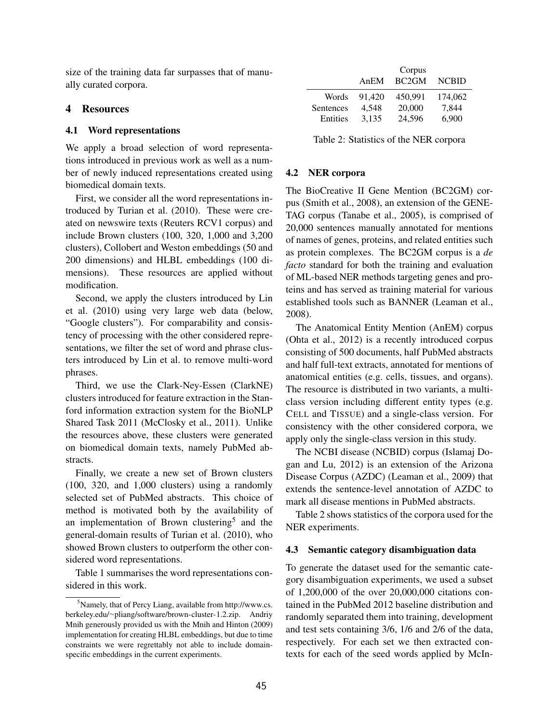size of the training data far surpasses that of manually curated corpora.

### 4 Resources

## 4.1 Word representations

We apply a broad selection of word representations introduced in previous work as well as a number of newly induced representations created using biomedical domain texts.

First, we consider all the word representations introduced by Turian et al. (2010). These were created on newswire texts (Reuters RCV1 corpus) and include Brown clusters (100, 320, 1,000 and 3,200 clusters), Collobert and Weston embeddings (50 and 200 dimensions) and HLBL embeddings (100 dimensions). These resources are applied without modification.

Second, we apply the clusters introduced by Lin et al. (2010) using very large web data (below, "Google clusters"). For comparability and consistency of processing with the other considered representations, we filter the set of word and phrase clusters introduced by Lin et al. to remove multi-word phrases.

Third, we use the Clark-Ney-Essen (ClarkNE) clusters introduced for feature extraction in the Stanford information extraction system for the BioNLP Shared Task 2011 (McClosky et al., 2011). Unlike the resources above, these clusters were generated on biomedical domain texts, namely PubMed abstracts.

Finally, we create a new set of Brown clusters (100, 320, and 1,000 clusters) using a randomly selected set of PubMed abstracts. This choice of method is motivated both by the availability of an implementation of Brown clustering<sup>5</sup> and the general-domain results of Turian et al. (2010), who showed Brown clusters to outperform the other considered word representations.

Table 1 summarises the word representations considered in this work.

|           |        | Corpus            |              |
|-----------|--------|-------------------|--------------|
|           | AnEM   | BC <sub>2GM</sub> | <b>NCBID</b> |
| Words     | 91.420 | 450.991           | 174,062      |
| Sentences | 4.548  | 20,000            | 7,844        |
| Entities  | 3,135  | 24,596            | 6,900        |
|           |        |                   |              |

Table 2: Statistics of the NER corpora

### 4.2 NER corpora

The BioCreative II Gene Mention (BC2GM) corpus (Smith et al., 2008), an extension of the GENE-TAG corpus (Tanabe et al., 2005), is comprised of 20,000 sentences manually annotated for mentions of names of genes, proteins, and related entities such as protein complexes. The BC2GM corpus is a *de facto* standard for both the training and evaluation of ML-based NER methods targeting genes and proteins and has served as training material for various established tools such as BANNER (Leaman et al., 2008).

The Anatomical Entity Mention (AnEM) corpus (Ohta et al., 2012) is a recently introduced corpus consisting of 500 documents, half PubMed abstracts and half full-text extracts, annotated for mentions of anatomical entities (e.g. cells, tissues, and organs). The resource is distributed in two variants, a multiclass version including different entity types (e.g. CELL and TISSUE) and a single-class version. For consistency with the other considered corpora, we apply only the single-class version in this study.

The NCBI disease (NCBID) corpus (Islamaj Dogan and Lu, 2012) is an extension of the Arizona Disease Corpus (AZDC) (Leaman et al., 2009) that extends the sentence-level annotation of AZDC to mark all disease mentions in PubMed abstracts.

Table 2 shows statistics of the corpora used for the NER experiments.

## 4.3 Semantic category disambiguation data

To generate the dataset used for the semantic category disambiguation experiments, we used a subset of 1,200,000 of the over 20,000,000 citations contained in the PubMed 2012 baseline distribution and randomly separated them into training, development and test sets containing 3/6, 1/6 and 2/6 of the data, respectively. For each set we then extracted contexts for each of the seed words applied by McIn-

<sup>&</sup>lt;sup>5</sup>Namely, that of Percy Liang, available from http://www.cs. berkeley.edu/∼pliang/software/brown-cluster-1.2.zip. Andriy Mnih generously provided us with the Mnih and Hinton (2009) implementation for creating HLBL embeddings, but due to time constraints we were regrettably not able to include domainspecific embeddings in the current experiments.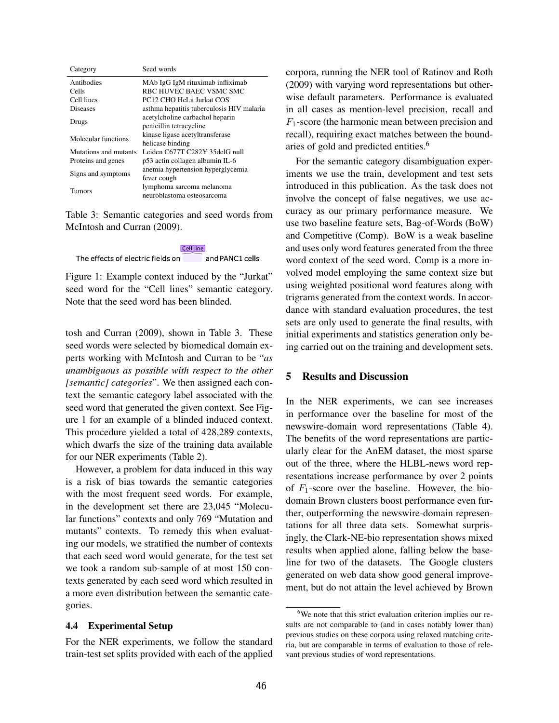| Category              | Seed words                                |
|-----------------------|-------------------------------------------|
| Antibodies            | MAb IgG IgM rituximab infliximab          |
| Cells                 | RBC HUVEC BAEC VSMC SMC                   |
| Cell lines            | PC12 CHO HeLa Jurkat COS                  |
| Diseases              | asthma hepatitis tuberculosis HIV malaria |
|                       | acetylcholine carbachol heparin           |
| Drugs                 | penicillin tetracycline                   |
| Molecular functions   | kinase ligase acetyltransferase           |
|                       | helicase binding                          |
| Mutations and mutants | Leiden C677T C282Y 35delG null            |
| Proteins and genes    | p53 actin collagen albumin IL-6           |
|                       | anemia hypertension hyperglycemia         |
| Signs and symptoms    | fever cough                               |
| Tumors                | lymphoma sarcoma melanoma                 |
|                       | neuroblastoma osteosarcoma                |

Table 3: Semantic categories and seed words from McIntosh and Curran (2009).

Cell line The effects of electric fields on and PANC1 cells.

Figure 1: Example context induced by the "Jurkat" seed word for the "Cell lines" semantic category. Note that the seed word has been blinded.

tosh and Curran (2009), shown in Table 3. These seed words were selected by biomedical domain experts working with McIntosh and Curran to be "*as unambiguous as possible with respect to the other [semantic] categories*". We then assigned each context the semantic category label associated with the seed word that generated the given context. See Figure 1 for an example of a blinded induced context. This procedure yielded a total of 428,289 contexts, which dwarfs the size of the training data available for our NER experiments (Table 2).

However, a problem for data induced in this way is a risk of bias towards the semantic categories with the most frequent seed words. For example, in the development set there are 23,045 "Molecular functions" contexts and only 769 "Mutation and mutants" contexts. To remedy this when evaluating our models, we stratified the number of contexts that each seed word would generate, for the test set we took a random sub-sample of at most 150 contexts generated by each seed word which resulted in a more even distribution between the semantic categories.

## 4.4 Experimental Setup

For the NER experiments, we follow the standard train-test set splits provided with each of the applied

corpora, running the NER tool of Ratinov and Roth (2009) with varying word representations but otherwise default parameters. Performance is evaluated in all cases as mention-level precision, recall and  $F_1$ -score (the harmonic mean between precision and recall), requiring exact matches between the boundaries of gold and predicted entities.<sup>6</sup>

For the semantic category disambiguation experiments we use the train, development and test sets introduced in this publication. As the task does not involve the concept of false negatives, we use accuracy as our primary performance measure. We use two baseline feature sets, Bag-of-Words (BoW) and Competitive (Comp). BoW is a weak baseline and uses only word features generated from the three word context of the seed word. Comp is a more involved model employing the same context size but using weighted positional word features along with trigrams generated from the context words. In accordance with standard evaluation procedures, the test sets are only used to generate the final results, with initial experiments and statistics generation only being carried out on the training and development sets.

# 5 Results and Discussion

In the NER experiments, we can see increases in performance over the baseline for most of the newswire-domain word representations (Table 4). The benefits of the word representations are particularly clear for the AnEM dataset, the most sparse out of the three, where the HLBL-news word representations increase performance by over 2 points of  $F_1$ -score over the baseline. However, the biodomain Brown clusters boost performance even further, outperforming the newswire-domain representations for all three data sets. Somewhat surprisingly, the Clark-NE-bio representation shows mixed results when applied alone, falling below the baseline for two of the datasets. The Google clusters generated on web data show good general improvement, but do not attain the level achieved by Brown

<sup>&</sup>lt;sup>6</sup>We note that this strict evaluation criterion implies our results are not comparable to (and in cases notably lower than) previous studies on these corpora using relaxed matching criteria, but are comparable in terms of evaluation to those of relevant previous studies of word representations.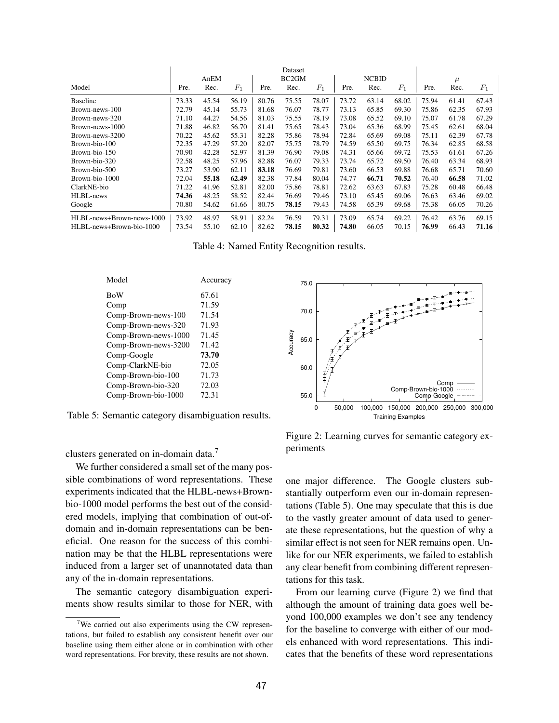|                           |       |       |       |       | Dataset            |       |       |              |       |       |       |       |
|---------------------------|-------|-------|-------|-------|--------------------|-------|-------|--------------|-------|-------|-------|-------|
|                           |       | AnEM  |       |       | BC <sub>2</sub> GM |       |       | <b>NCBID</b> |       |       | $\mu$ |       |
| Model                     | Pre.  | Rec.  | $F_1$ | Pre.  | Rec.               | $F_1$ | Pre.  | Rec.         | $F_1$ | Pre.  | Rec.  | $F_1$ |
| <b>Baseline</b>           | 73.33 | 45.54 | 56.19 | 80.76 | 75.55              | 78.07 | 73.72 | 63.14        | 68.02 | 75.94 | 61.41 | 67.43 |
| Brown-news-100            | 72.79 | 45.14 | 55.73 | 81.68 | 76.07              | 78.77 | 73.13 | 65.85        | 69.30 | 75.86 | 62.35 | 67.93 |
| Brown-news-320            | 71.10 | 44.27 | 54.56 | 81.03 | 75.55              | 78.19 | 73.08 | 65.52        | 69.10 | 75.07 | 61.78 | 67.29 |
| Brown-news-1000           | 71.88 | 46.82 | 56.70 | 81.41 | 75.65              | 78.43 | 73.04 | 65.36        | 68.99 | 75.45 | 62.61 | 68.04 |
| Brown-news-3200           | 70.22 | 45.62 | 55.31 | 82.28 | 75.86              | 78.94 | 72.84 | 65.69        | 69.08 | 75.11 | 62.39 | 67.78 |
| Brown-bio-100             | 72.35 | 47.29 | 57.20 | 82.07 | 75.75              | 78.79 | 74.59 | 65.50        | 69.75 | 76.34 | 62.85 | 68.58 |
| Brown-bio-150             | 70.90 | 42.28 | 52.97 | 81.39 | 76.90              | 79.08 | 74.31 | 65.66        | 69.72 | 75.53 | 61.61 | 67.26 |
| Brown-bio-320             | 72.58 | 48.25 | 57.96 | 82.88 | 76.07              | 79.33 | 73.74 | 65.72        | 69.50 | 76.40 | 63.34 | 68.93 |
| Brown-bio-500             | 73.27 | 53.90 | 62.11 | 83.18 | 76.69              | 79.81 | 73.60 | 66.53        | 69.88 | 76.68 | 65.71 | 70.60 |
| Brown-bio-1000            | 72.04 | 55.18 | 62.49 | 82.38 | 77.84              | 80.04 | 74.77 | 66.71        | 70.52 | 76.40 | 66.58 | 71.02 |
| ClarkNE-bio               | 71.22 | 41.96 | 52.81 | 82.00 | 75.86              | 78.81 | 72.62 | 63.63        | 67.83 | 75.28 | 60.48 | 66.48 |
| HLBL-news                 | 74.36 | 48.25 | 58.52 | 82.44 | 76.69              | 79.46 | 73.10 | 65.45        | 69.06 | 76.63 | 63.46 | 69.02 |
| Google                    | 70.80 | 54.62 | 61.66 | 80.75 | 78.15              | 79.43 | 74.58 | 65.39        | 69.68 | 75.38 | 66.05 | 70.26 |
| HLBL-news+Brown-news-1000 | 73.92 | 48.97 | 58.91 | 82.24 | 76.59              | 79.31 | 73.09 | 65.74        | 69.22 | 76.42 | 63.76 | 69.15 |
| HLBL-news+Brown-bio-1000  | 73.54 | 55.10 | 62.10 | 82.62 | 78.15              | 80.32 | 74.80 | 66.05        | 70.15 | 76.99 | 66.43 | 71.16 |

Table 4: Named Entity Recognition results.

| Model                | Accuracy |
|----------------------|----------|
| <b>BoW</b>           | 67.61    |
| Comp                 | 71.59    |
| Comp-Brown-news-100  | 71.54    |
| Comp-Brown-news-320  | 71.93    |
| Comp-Brown-news-1000 | 71.45    |
| Comp-Brown-news-3200 | 71.42    |
| Comp-Google          | 73.70    |
| Comp-ClarkNE-bio     | 72.05    |
| Comp-Brown-bio-100   | 71.73    |
| Comp-Brown-bio-320   | 72.03    |
| Comp-Brown-bio-1000  | 72.31    |

Table 5: Semantic category disambiguation results.

clusters generated on in-domain data.<sup>7</sup>

We further considered a small set of the many possible combinations of word representations. These experiments indicated that the HLBL-news+Brownbio-1000 model performs the best out of the considered models, implying that combination of out-ofdomain and in-domain representations can be beneficial. One reason for the success of this combination may be that the HLBL representations were induced from a larger set of unannotated data than any of the in-domain representations. Comp-Brown-news-100 71.54 70.0 70.9 70.9 70.0 71.54 comp-Brown-news-3200 71.93 comp-Brown-news-3200 71.42 comp-GlankNE-bio 73.70 comp-GlankNE-bio 72.05 comp-Brown-bio-100 71.73 comp-Brown-bio-100 71.73 comp-Brown-bio-100 7

The semantic category disambiguation experiments show results similar to those for NER, with



Figure 2: Learning curves for semantic category experiments

one major difference. The Google clusters substantially outperform even our in-domain representations (Table 5). One may speculate that this is due to the vastly greater amount of data used to generate these representations, but the question of why a similar effect is not seen for NER remains open. Unlike for our NER experiments, we failed to establish any clear benefit from combining different representations for this task.

From our learning curve (Figure 2) we find that although the amount of training data goes well beyond 100,000 examples we don't see any tendency for the baseline to converge with either of our models enhanced with word representations. This indicates that the benefits of these word representations

<sup>&</sup>lt;sup>7</sup>We carried out also experiments using the CW representations, but failed to establish any consistent benefit over our baseline using them either alone or in combination with other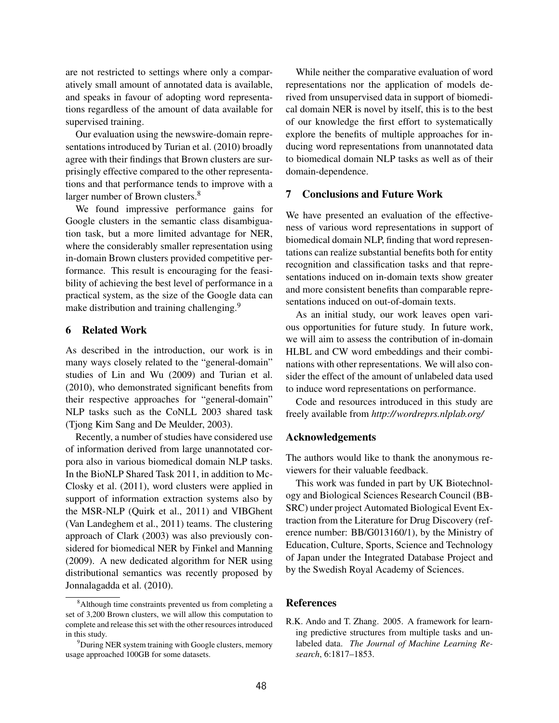are not restricted to settings where only a comparatively small amount of annotated data is available, and speaks in favour of adopting word representations regardless of the amount of data available for supervised training.

Our evaluation using the newswire-domain representations introduced by Turian et al. (2010) broadly agree with their findings that Brown clusters are surprisingly effective compared to the other representations and that performance tends to improve with a larger number of Brown clusters.<sup>8</sup>

We found impressive performance gains for Google clusters in the semantic class disambiguation task, but a more limited advantage for NER, where the considerably smaller representation using in-domain Brown clusters provided competitive performance. This result is encouraging for the feasibility of achieving the best level of performance in a practical system, as the size of the Google data can make distribution and training challenging.<sup>9</sup>

#### 6 Related Work

As described in the introduction, our work is in many ways closely related to the "general-domain" studies of Lin and Wu (2009) and Turian et al. (2010), who demonstrated significant benefits from their respective approaches for "general-domain" NLP tasks such as the CoNLL 2003 shared task (Tjong Kim Sang and De Meulder, 2003).

Recently, a number of studies have considered use of information derived from large unannotated corpora also in various biomedical domain NLP tasks. In the BioNLP Shared Task 2011, in addition to Mc-Closky et al. (2011), word clusters were applied in support of information extraction systems also by the MSR-NLP (Quirk et al., 2011) and VIBGhent (Van Landeghem et al., 2011) teams. The clustering approach of Clark (2003) was also previously considered for biomedical NER by Finkel and Manning (2009). A new dedicated algorithm for NER using distributional semantics was recently proposed by Jonnalagadda et al. (2010).

While neither the comparative evaluation of word representations nor the application of models derived from unsupervised data in support of biomedical domain NER is novel by itself, this is to the best of our knowledge the first effort to systematically explore the benefits of multiple approaches for inducing word representations from unannotated data to biomedical domain NLP tasks as well as of their domain-dependence.

### 7 Conclusions and Future Work

We have presented an evaluation of the effectiveness of various word representations in support of biomedical domain NLP, finding that word representations can realize substantial benefits both for entity recognition and classification tasks and that representations induced on in-domain texts show greater and more consistent benefits than comparable representations induced on out-of-domain texts.

As an initial study, our work leaves open various opportunities for future study. In future work, we will aim to assess the contribution of in-domain HLBL and CW word embeddings and their combinations with other representations. We will also consider the effect of the amount of unlabeled data used to induce word representations on performance.

Code and resources introduced in this study are freely available from *http://wordreprs.nlplab.org/*

## Acknowledgements

The authors would like to thank the anonymous reviewers for their valuable feedback.

This work was funded in part by UK Biotechnology and Biological Sciences Research Council (BB-SRC) under project Automated Biological Event Extraction from the Literature for Drug Discovery (reference number: BB/G013160/1), by the Ministry of Education, Culture, Sports, Science and Technology of Japan under the Integrated Database Project and by the Swedish Royal Academy of Sciences.

#### References

R.K. Ando and T. Zhang. 2005. A framework for learning predictive structures from multiple tasks and unlabeled data. *The Journal of Machine Learning Research*, 6:1817–1853.

<sup>&</sup>lt;sup>8</sup>Although time constraints prevented us from completing a set of 3,200 Brown clusters, we will allow this computation to complete and release this set with the other resources introduced in this study.

<sup>&</sup>lt;sup>9</sup>During NER system training with Google clusters, memory usage approached 100GB for some datasets.